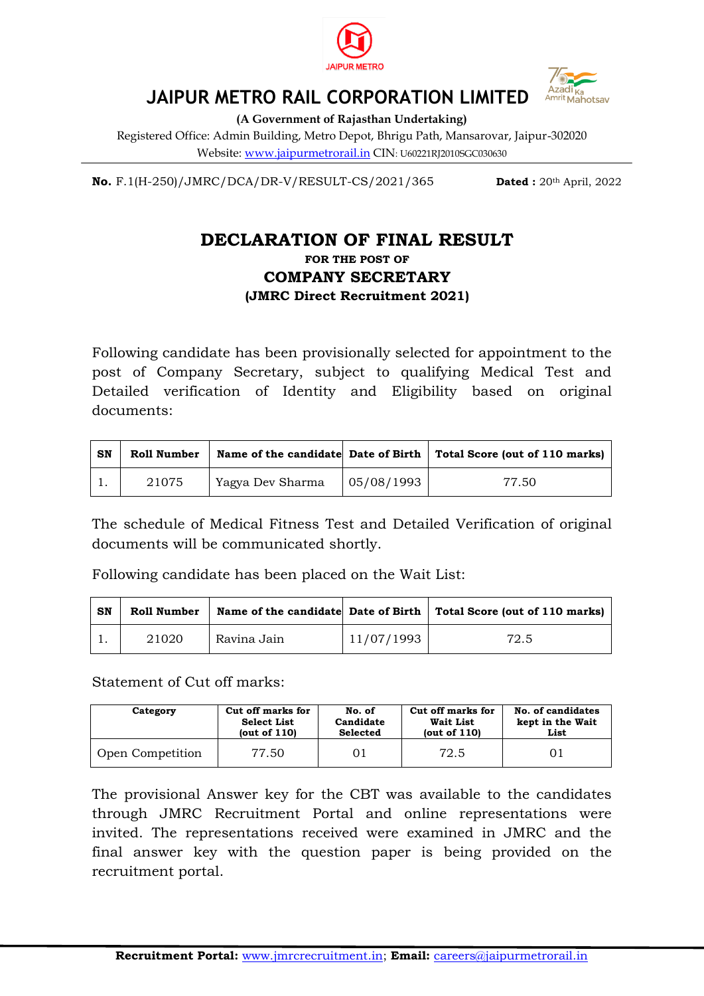



## **JAIPUR METRO RAIL CORPORATION LIMITED**

**(A Government of Rajasthan Undertaking)**

Registered Office: Admin Building, Metro Depot, Bhrigu Path, Mansarovar, Jaipur-302020 Website: www.jaipurmetrorail.in CIN: U60221RJ2010SGC030630

**No.** F.1(H-250)/JMRC/DCA/DR-V/RESULT-CS/2021/365 **Dated :** 20th April, 2022

## **DECLARATION OF FINAL RESULT**

## **FOR THE POST OF COMPANY SECRETARY (JMRC Direct Recruitment 2021)**

Following candidate has been provisionally selected for appointment to the post of Company Secretary, subject to qualifying Medical Test and Detailed verification of Identity and Eligibility based on original documents:

| SN | Roll Number |                  |                          | Name of the candidate Date of Birth $\vert$ Total Score (out of 110 marks) |
|----|-------------|------------------|--------------------------|----------------------------------------------------------------------------|
|    | 21075       | Yagya Dev Sharma | $\vert 05/08/1993 \vert$ | 77.50                                                                      |

The schedule of Medical Fitness Test and Detailed Verification of original documents will be communicated shortly.

Following candidate has been placed on the Wait List:

| SN | Roll Number |             |            | Name of the candidate Date of Birth Total Score (out of 110 marks) |
|----|-------------|-------------|------------|--------------------------------------------------------------------|
|    | 21020       | Ravina Jain | 11/07/1993 | 72.5                                                               |

Statement of Cut off marks:

| Category         | Cut off marks for  | No. of    | Cut off marks for | No. of candidates |
|------------------|--------------------|-----------|-------------------|-------------------|
|                  | <b>Select List</b> | Candidate | Wait List         | kept in the Wait  |
|                  | (out of $110$ )    | Selected  | (out of $110$ )   | List              |
| Open Competition | 77.50              | 01        | 72.5              | 01                |

The provisional Answer key for the CBT was available to the candidates through JMRC Recruitment Portal and online representations were invited. The representations received were examined in JMRC and the final answer key with the question paper is being provided on the recruitment portal.